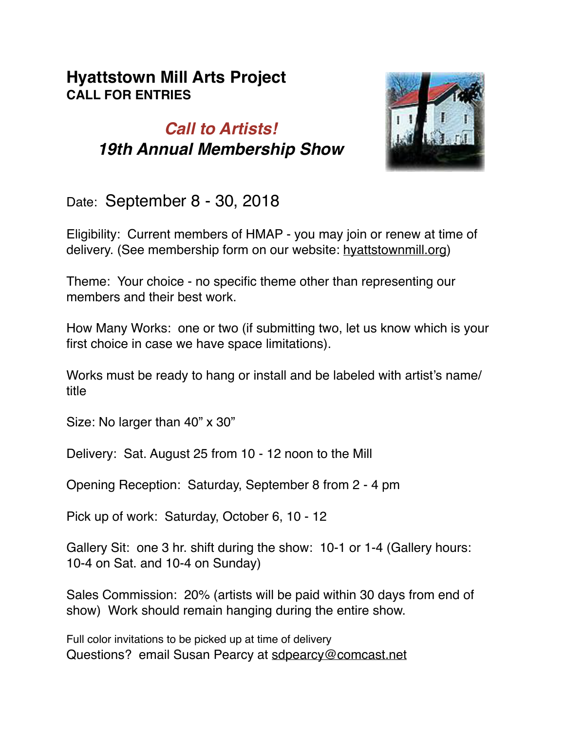## **Hyattstown Mill Arts Project CALL FOR ENTRIES**

## *Call to Artists! 19th Annual Membership Show*



Date: September 8 - 30, 2018

Eligibility: Current members of HMAP - you may join or renew at time of delivery. (See membership form on our website: hyattstownmill.org)

Theme: Your choice - no specific theme other than representing our members and their best work.

How Many Works: one or two (if submitting two, let us know which is your first choice in case we have space limitations).

Works must be ready to hang or install and be labeled with artist's name/ title

Size: No larger than 40" x 30"

Delivery: Sat. August 25 from 10 - 12 noon to the Mill

Opening Reception: Saturday, September 8 from 2 - 4 pm

Pick up of work: Saturday, October 6, 10 - 12

Gallery Sit: one 3 hr. shift during the show: 10-1 or 1-4 (Gallery hours: 10-4 on Sat. and 10-4 on Sunday)

Sales Commission: 20% (artists will be paid within 30 days from end of show) Work should remain hanging during the entire show.

Full color invitations to be picked up at time of delivery Questions? email Susan Pearcy at sdpearcy@comcast.net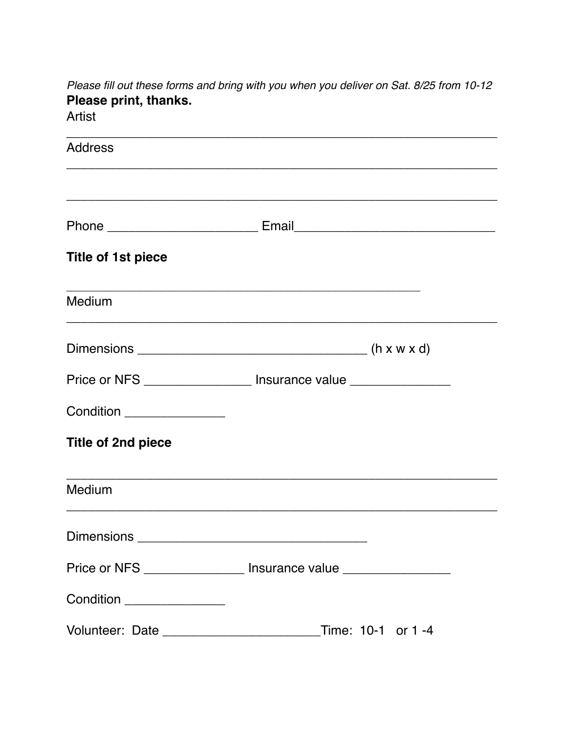Please fill out these forms and bring with you when you deliver on Sat. 8/25 from 10-12 Please print, thanks. Artist

| <b>Address</b>                |                                                                                                                      |  |
|-------------------------------|----------------------------------------------------------------------------------------------------------------------|--|
|                               |                                                                                                                      |  |
|                               |                                                                                                                      |  |
| <b>Title of 1st piece</b>     |                                                                                                                      |  |
| Medium                        | <u> 1989 - Johann John Harry Harry Harry Harry Harry Harry Harry Harry Harry Harry Harry Harry Harry Harry Harry</u> |  |
|                               |                                                                                                                      |  |
|                               | Price or NFS ____________________ Insurance value _________________                                                  |  |
| Condition _______________     |                                                                                                                      |  |
| Title of 2nd piece            |                                                                                                                      |  |
| Medium                        |                                                                                                                      |  |
| Dimensions __________________ |                                                                                                                      |  |
|                               | Price or NFS _________________ Insurance value ________________                                                      |  |
| Condition ________________    |                                                                                                                      |  |
|                               |                                                                                                                      |  |